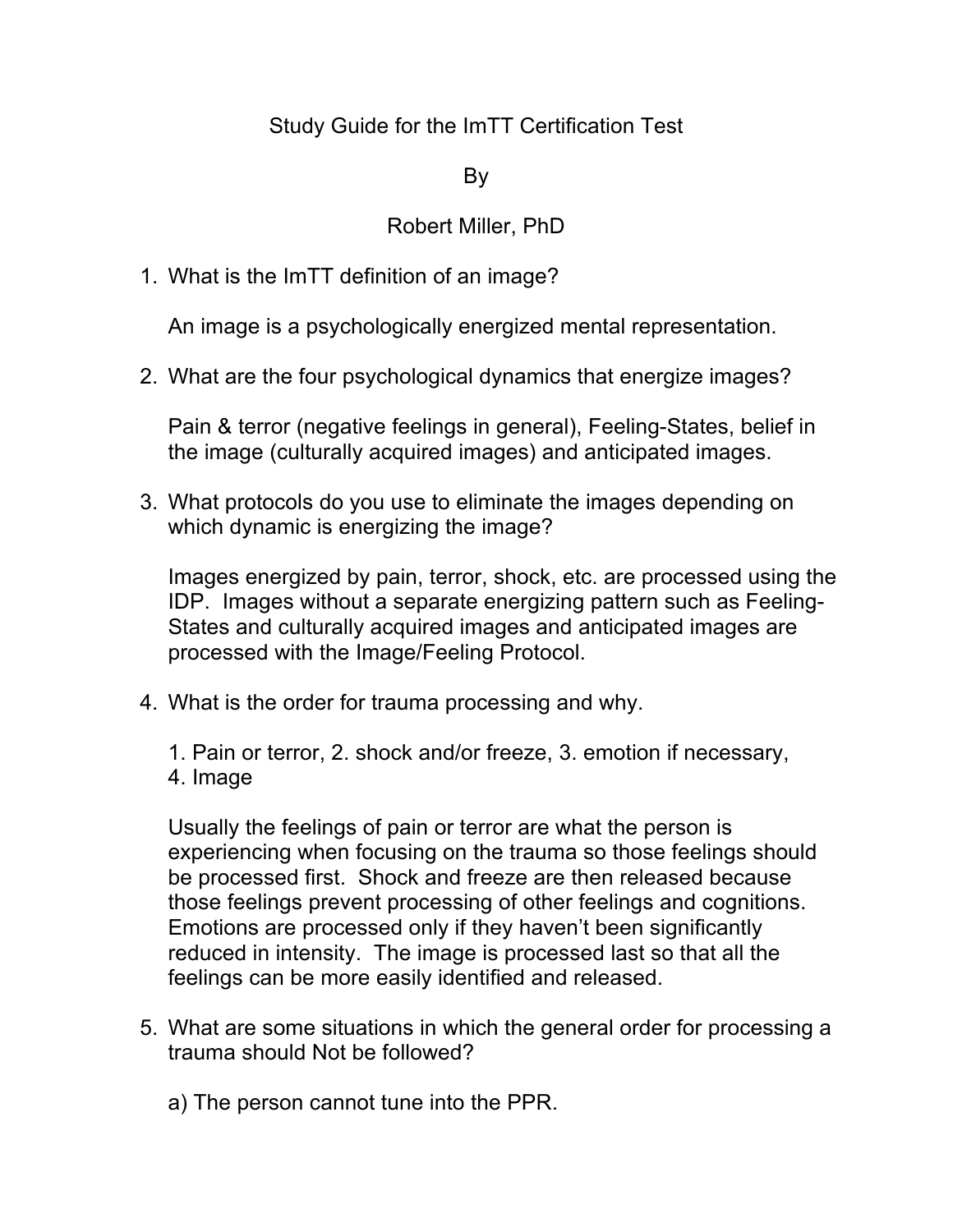## Study Guide for the ImTT Certification Test

## By

## Robert Miller, PhD

1. What is the ImTT definition of an image?

An image is a psychologically energized mental representation.

2. What are the four psychological dynamics that energize images?

Pain & terror (negative feelings in general), Feeling-States, belief in the image (culturally acquired images) and anticipated images.

3. What protocols do you use to eliminate the images depending on which dynamic is energizing the image?

Images energized by pain, terror, shock, etc. are processed using the IDP. Images without a separate energizing pattern such as Feeling-States and culturally acquired images and anticipated images are processed with the Image/Feeling Protocol.

4. What is the order for trauma processing and why.

1. Pain or terror, 2. shock and/or freeze, 3. emotion if necessary, 4. Image

Usually the feelings of pain or terror are what the person is experiencing when focusing on the trauma so those feelings should be processed first. Shock and freeze are then released because those feelings prevent processing of other feelings and cognitions. Emotions are processed only if they haven't been significantly reduced in intensity. The image is processed last so that all the feelings can be more easily identified and released.

- 5. What are some situations in which the general order for processing a trauma should Not be followed?
	- a) The person cannot tune into the PPR.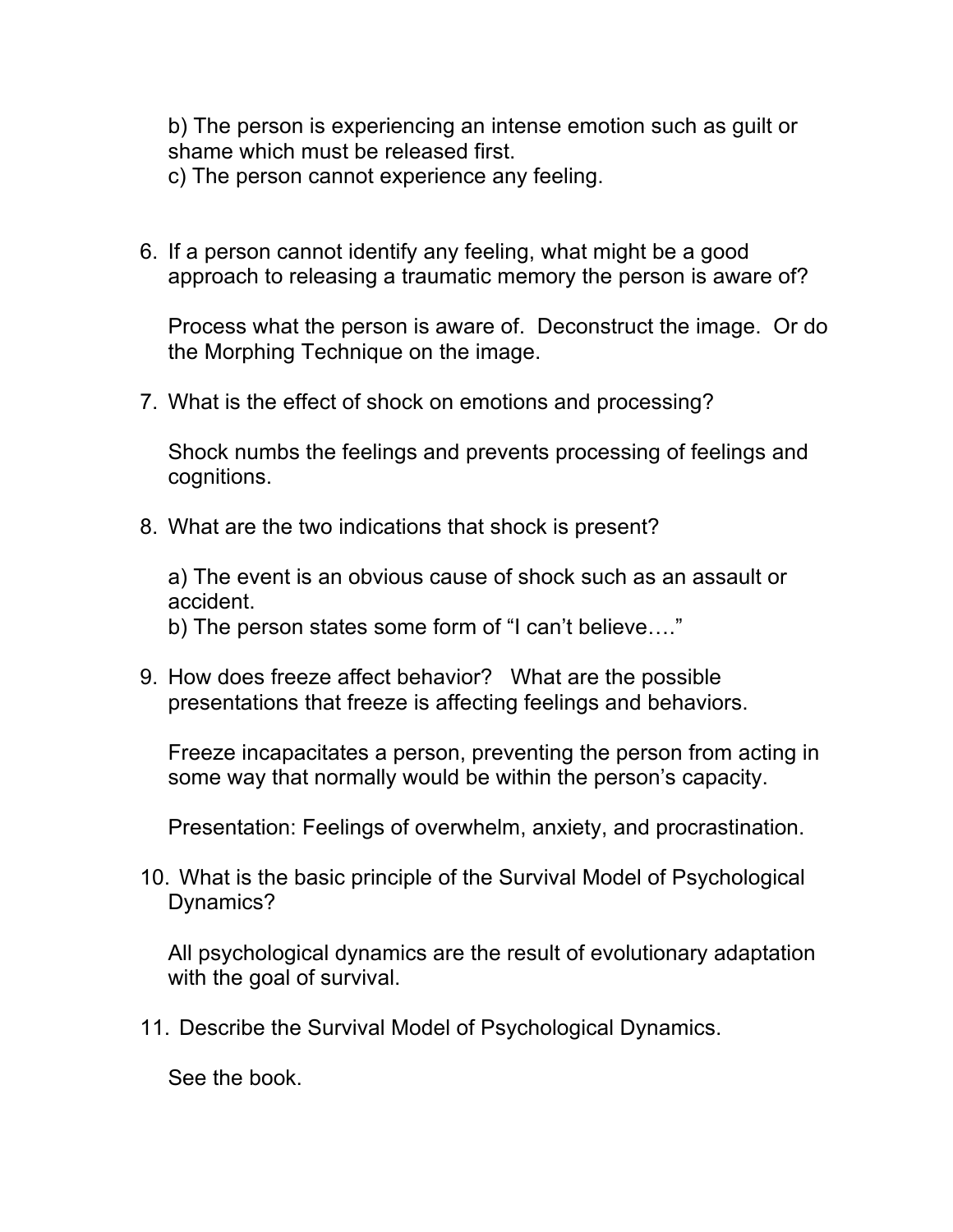b) The person is experiencing an intense emotion such as guilt or shame which must be released first.

c) The person cannot experience any feeling.

6. If a person cannot identify any feeling, what might be a good approach to releasing a traumatic memory the person is aware of?

Process what the person is aware of. Deconstruct the image. Or do the Morphing Technique on the image.

7. What is the effect of shock on emotions and processing?

Shock numbs the feelings and prevents processing of feelings and cognitions.

8. What are the two indications that shock is present?

a) The event is an obvious cause of shock such as an assault or accident.

b) The person states some form of "I can't believe…."

9. How does freeze affect behavior? What are the possible presentations that freeze is affecting feelings and behaviors.

Freeze incapacitates a person, preventing the person from acting in some way that normally would be within the person's capacity.

Presentation: Feelings of overwhelm, anxiety, and procrastination.

10. What is the basic principle of the Survival Model of Psychological Dynamics?

All psychological dynamics are the result of evolutionary adaptation with the goal of survival.

11. Describe the Survival Model of Psychological Dynamics.

See the book.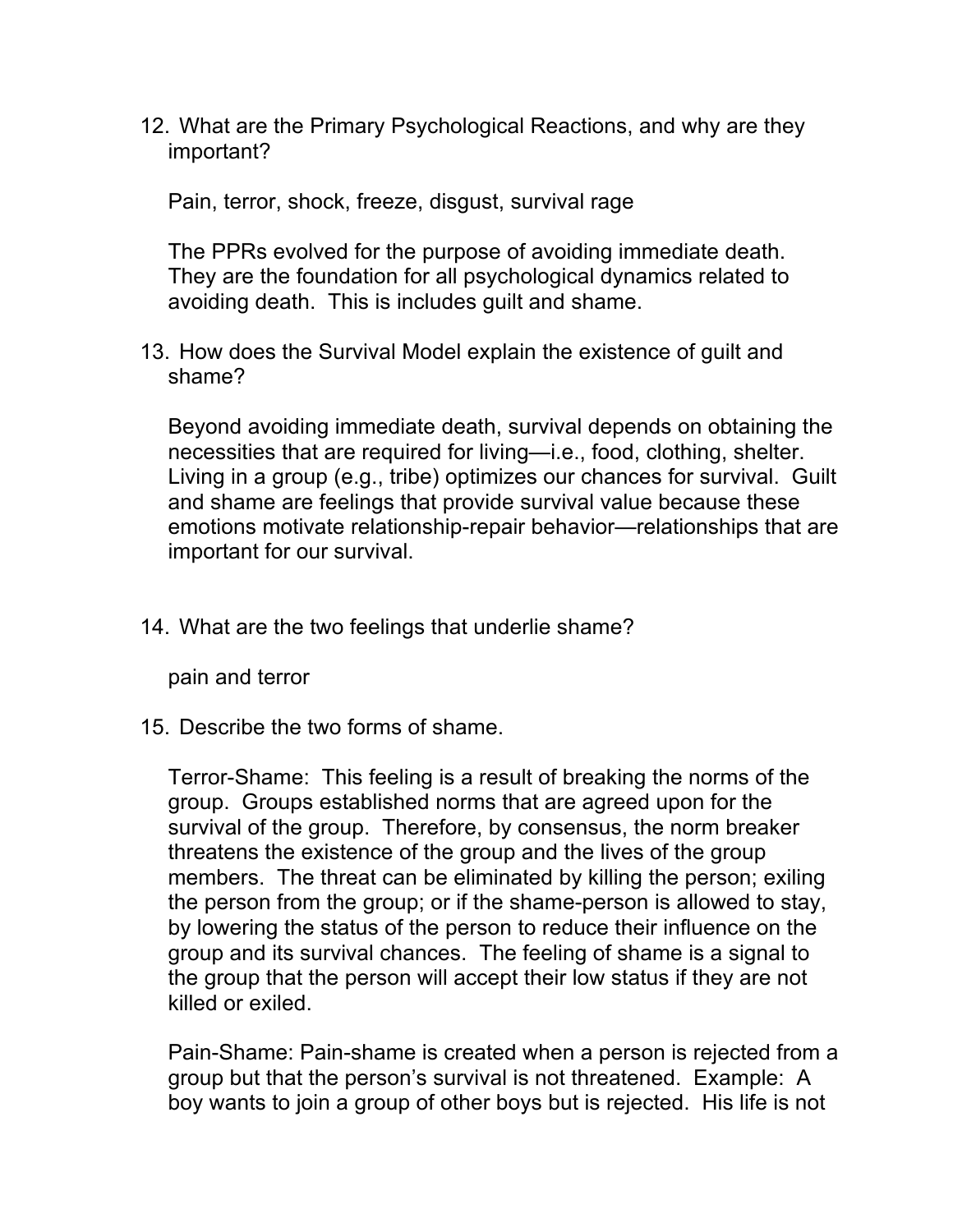12. What are the Primary Psychological Reactions, and why are they important?

Pain, terror, shock, freeze, disgust, survival rage

The PPRs evolved for the purpose of avoiding immediate death. They are the foundation for all psychological dynamics related to avoiding death. This is includes guilt and shame.

13. How does the Survival Model explain the existence of guilt and shame?

Beyond avoiding immediate death, survival depends on obtaining the necessities that are required for living—i.e., food, clothing, shelter. Living in a group (e.g., tribe) optimizes our chances for survival. Guilt and shame are feelings that provide survival value because these emotions motivate relationship-repair behavior—relationships that are important for our survival.

14. What are the two feelings that underlie shame?

pain and terror

15. Describe the two forms of shame.

Terror-Shame: This feeling is a result of breaking the norms of the group. Groups established norms that are agreed upon for the survival of the group. Therefore, by consensus, the norm breaker threatens the existence of the group and the lives of the group members. The threat can be eliminated by killing the person; exiling the person from the group; or if the shame-person is allowed to stay, by lowering the status of the person to reduce their influence on the group and its survival chances. The feeling of shame is a signal to the group that the person will accept their low status if they are not killed or exiled.

Pain-Shame: Pain-shame is created when a person is rejected from a group but that the person's survival is not threatened. Example: A boy wants to join a group of other boys but is rejected. His life is not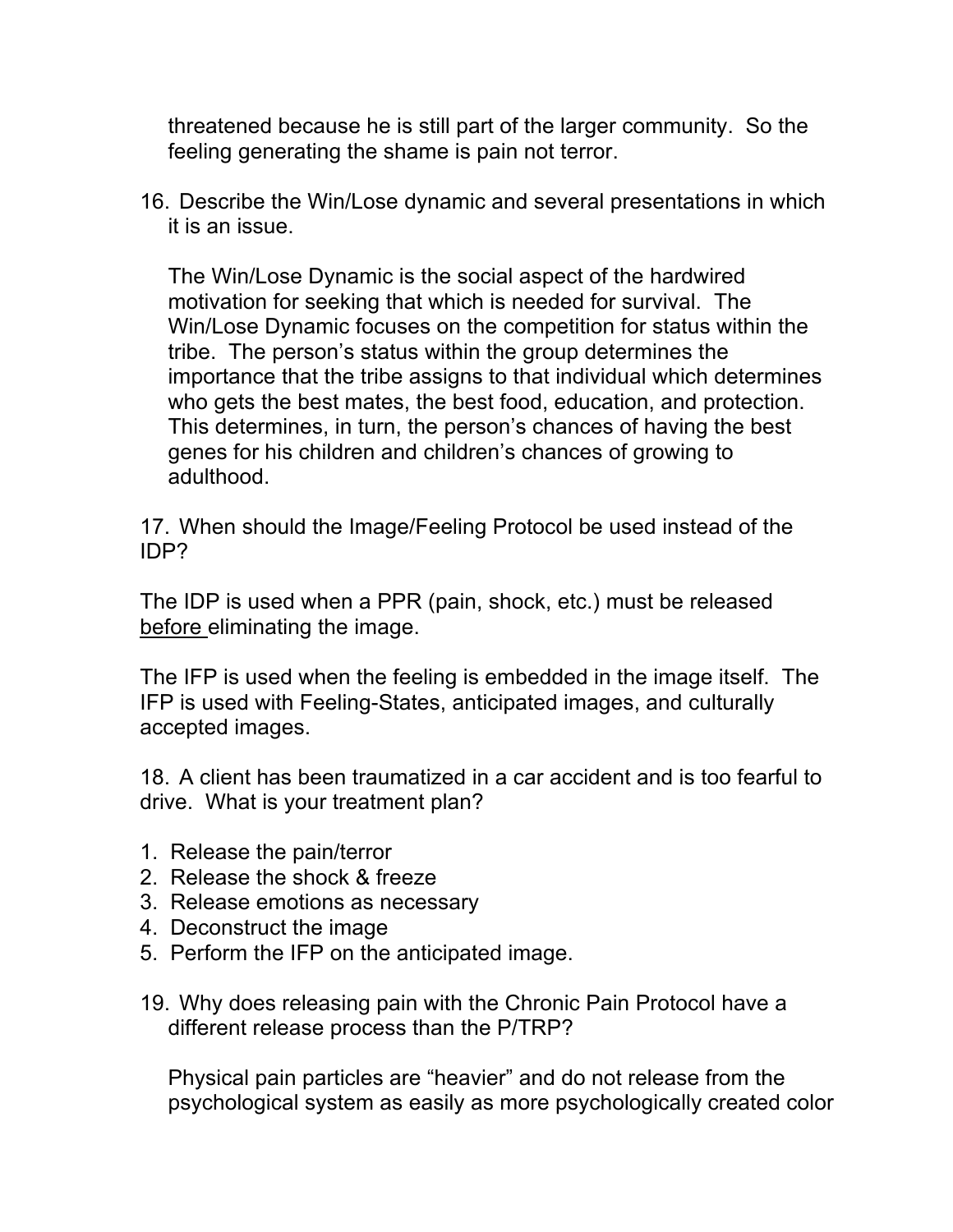threatened because he is still part of the larger community. So the feeling generating the shame is pain not terror.

16. Describe the Win/Lose dynamic and several presentations in which it is an issue.

The Win/Lose Dynamic is the social aspect of the hardwired motivation for seeking that which is needed for survival. The Win/Lose Dynamic focuses on the competition for status within the tribe. The person's status within the group determines the importance that the tribe assigns to that individual which determines who gets the best mates, the best food, education, and protection. This determines, in turn, the person's chances of having the best genes for his children and children's chances of growing to adulthood.

17. When should the Image/Feeling Protocol be used instead of the IDP?

The IDP is used when a PPR (pain, shock, etc.) must be released before eliminating the image.

The IFP is used when the feeling is embedded in the image itself. The IFP is used with Feeling-States, anticipated images, and culturally accepted images.

18. A client has been traumatized in a car accident and is too fearful to drive. What is your treatment plan?

- 1. Release the pain/terror
- 2. Release the shock & freeze
- 3. Release emotions as necessary
- 4. Deconstruct the image
- 5. Perform the IFP on the anticipated image.
- 19. Why does releasing pain with the Chronic Pain Protocol have a different release process than the P/TRP?

Physical pain particles are "heavier" and do not release from the psychological system as easily as more psychologically created color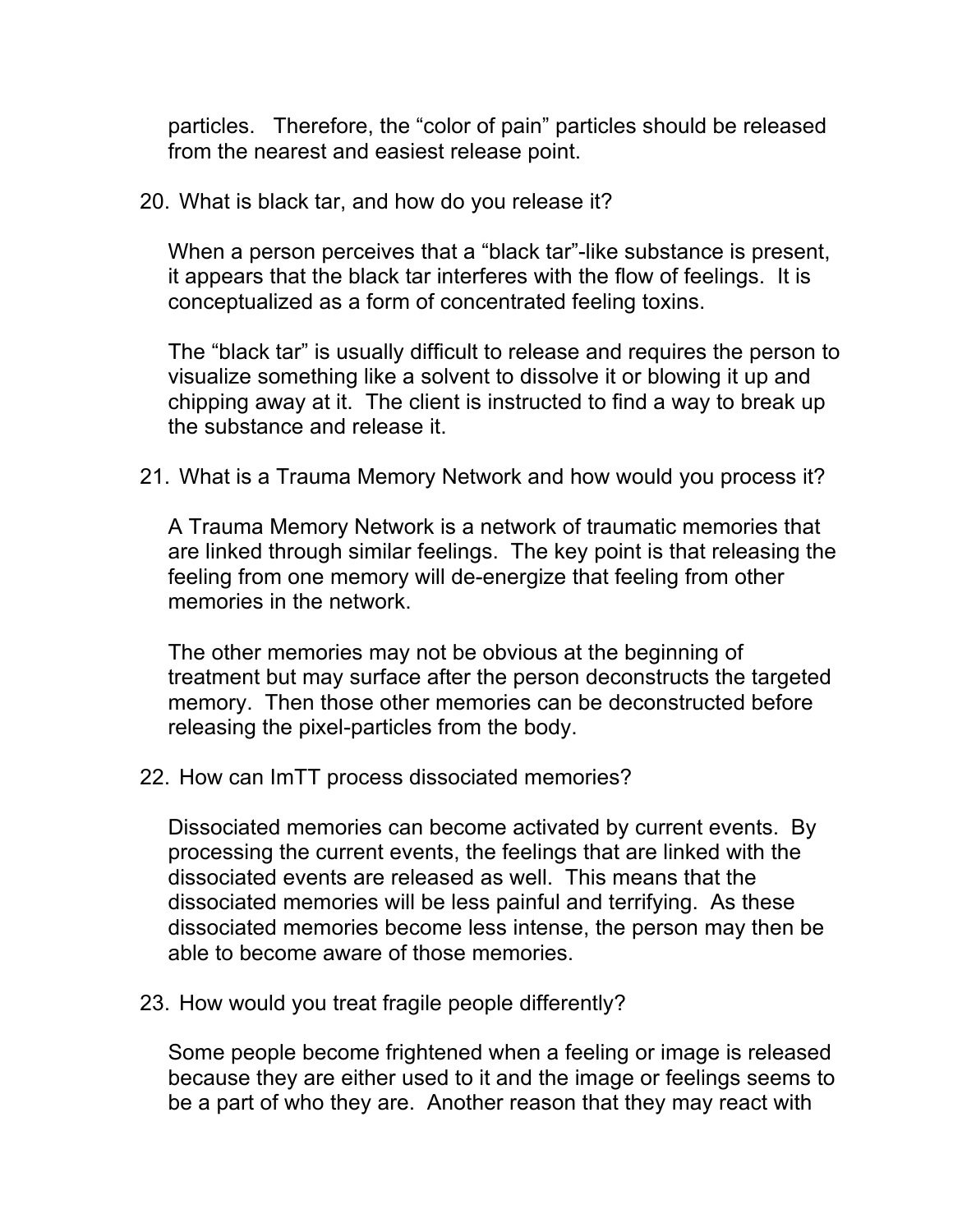particles. Therefore, the "color of pain" particles should be released from the nearest and easiest release point.

20. What is black tar, and how do you release it?

When a person perceives that a "black tar"-like substance is present, it appears that the black tar interferes with the flow of feelings. It is conceptualized as a form of concentrated feeling toxins.

The "black tar" is usually difficult to release and requires the person to visualize something like a solvent to dissolve it or blowing it up and chipping away at it. The client is instructed to find a way to break up the substance and release it.

21. What is a Trauma Memory Network and how would you process it?

A Trauma Memory Network is a network of traumatic memories that are linked through similar feelings. The key point is that releasing the feeling from one memory will de-energize that feeling from other memories in the network.

The other memories may not be obvious at the beginning of treatment but may surface after the person deconstructs the targeted memory. Then those other memories can be deconstructed before releasing the pixel-particles from the body.

22. How can ImTT process dissociated memories?

Dissociated memories can become activated by current events. By processing the current events, the feelings that are linked with the dissociated events are released as well. This means that the dissociated memories will be less painful and terrifying. As these dissociated memories become less intense, the person may then be able to become aware of those memories.

23. How would you treat fragile people differently?

Some people become frightened when a feeling or image is released because they are either used to it and the image or feelings seems to be a part of who they are. Another reason that they may react with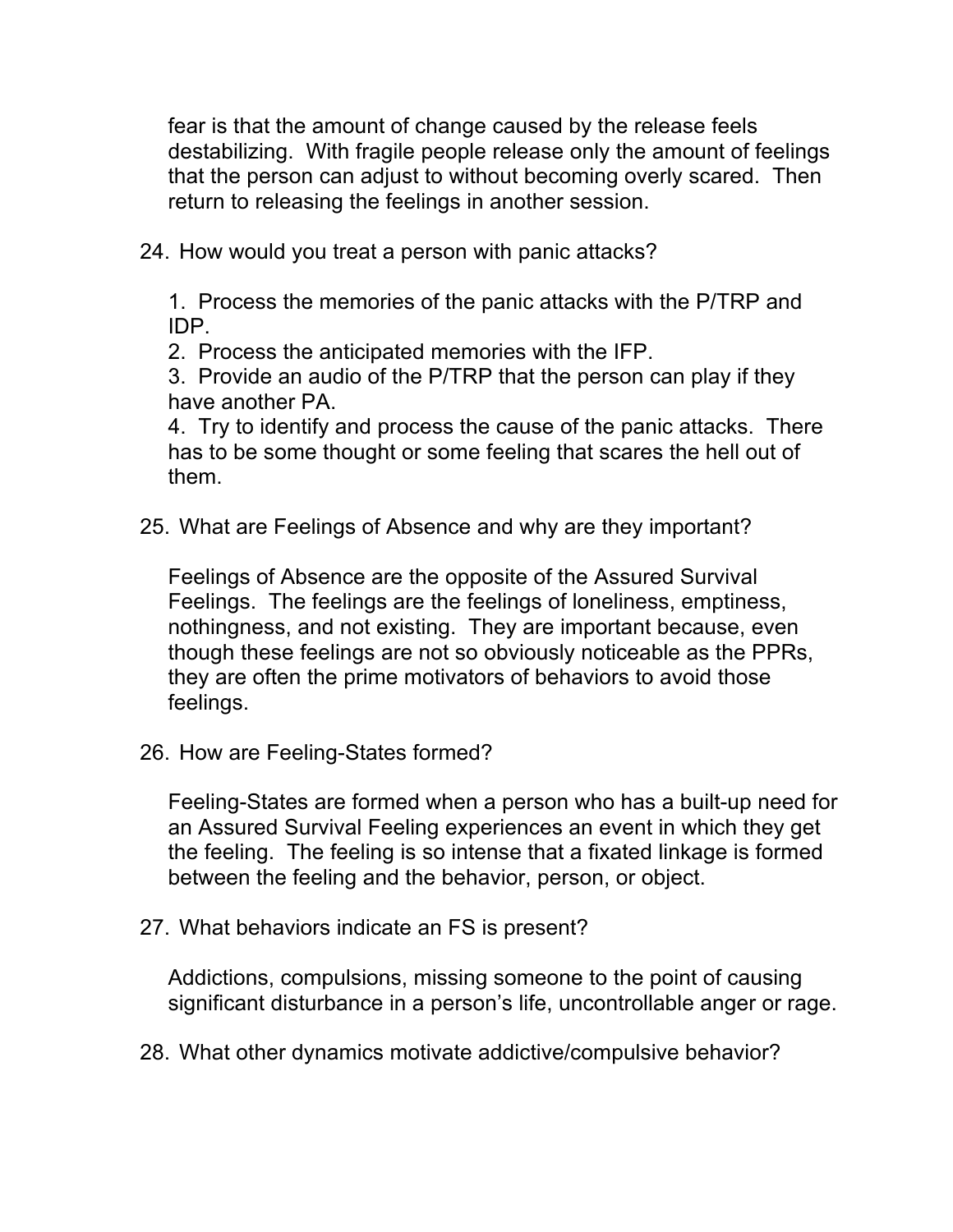fear is that the amount of change caused by the release feels destabilizing. With fragile people release only the amount of feelings that the person can adjust to without becoming overly scared. Then return to releasing the feelings in another session.

24. How would you treat a person with panic attacks?

1. Process the memories of the panic attacks with the P/TRP and IDP.

2. Process the anticipated memories with the IFP.

3. Provide an audio of the P/TRP that the person can play if they have another PA.

4. Try to identify and process the cause of the panic attacks. There has to be some thought or some feeling that scares the hell out of them.

25. What are Feelings of Absence and why are they important?

Feelings of Absence are the opposite of the Assured Survival Feelings. The feelings are the feelings of loneliness, emptiness, nothingness, and not existing. They are important because, even though these feelings are not so obviously noticeable as the PPRs, they are often the prime motivators of behaviors to avoid those feelings.

26. How are Feeling-States formed?

Feeling-States are formed when a person who has a built-up need for an Assured Survival Feeling experiences an event in which they get the feeling. The feeling is so intense that a fixated linkage is formed between the feeling and the behavior, person, or object.

27. What behaviors indicate an FS is present?

Addictions, compulsions, missing someone to the point of causing significant disturbance in a person's life, uncontrollable anger or rage.

28. What other dynamics motivate addictive/compulsive behavior?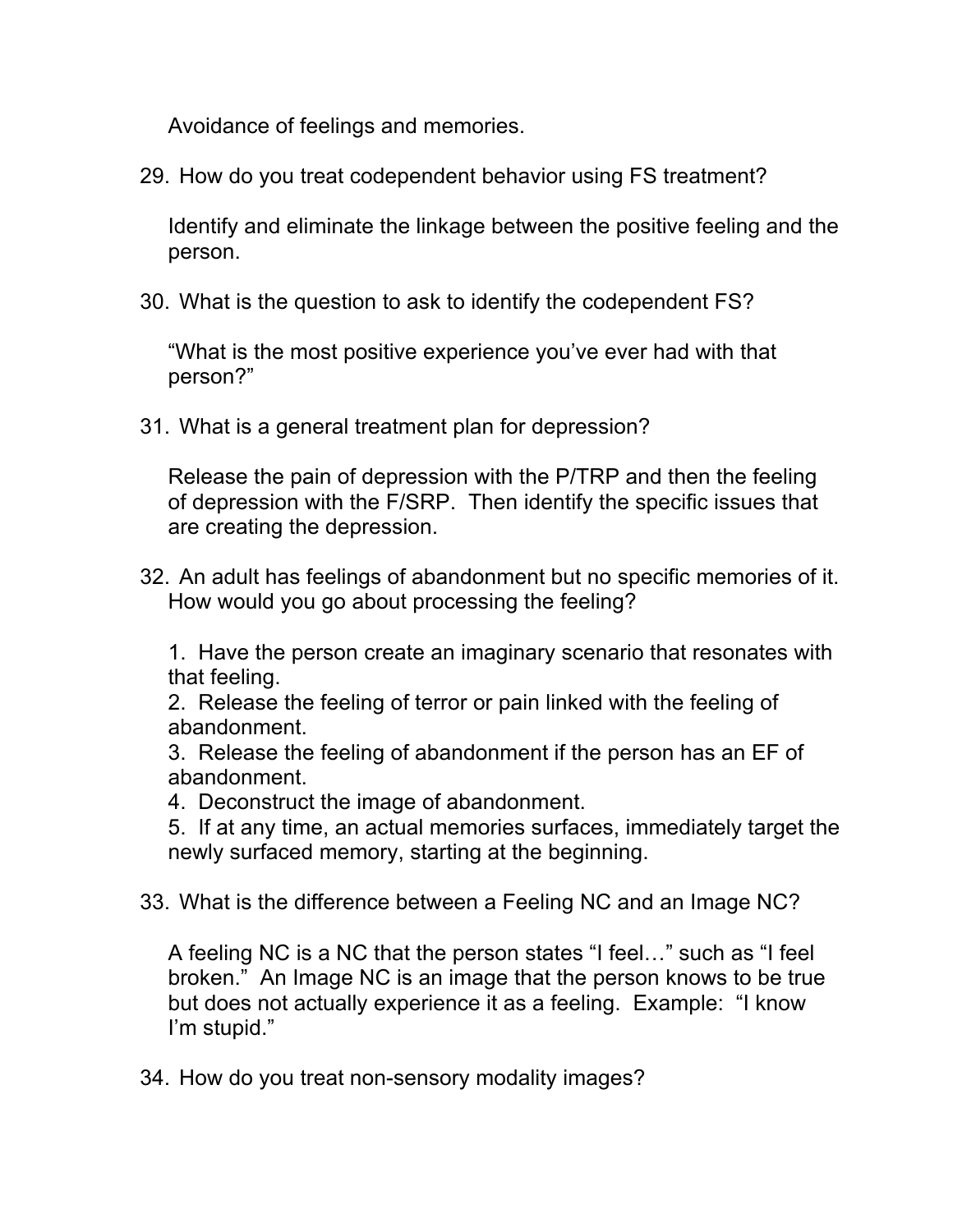Avoidance of feelings and memories.

29. How do you treat codependent behavior using FS treatment?

Identify and eliminate the linkage between the positive feeling and the person.

30. What is the question to ask to identify the codependent FS?

"What is the most positive experience you've ever had with that person?"

31. What is a general treatment plan for depression?

Release the pain of depression with the P/TRP and then the feeling of depression with the F/SRP. Then identify the specific issues that are creating the depression.

32. An adult has feelings of abandonment but no specific memories of it. How would you go about processing the feeling?

1. Have the person create an imaginary scenario that resonates with that feeling.

2. Release the feeling of terror or pain linked with the feeling of abandonment.

3. Release the feeling of abandonment if the person has an EF of abandonment.

4. Deconstruct the image of abandonment.

5. If at any time, an actual memories surfaces, immediately target the newly surfaced memory, starting at the beginning.

33. What is the difference between a Feeling NC and an Image NC?

A feeling NC is a NC that the person states "I feel…" such as "I feel broken." An Image NC is an image that the person knows to be true but does not actually experience it as a feeling. Example: "I know I'm stupid."

34. How do you treat non-sensory modality images?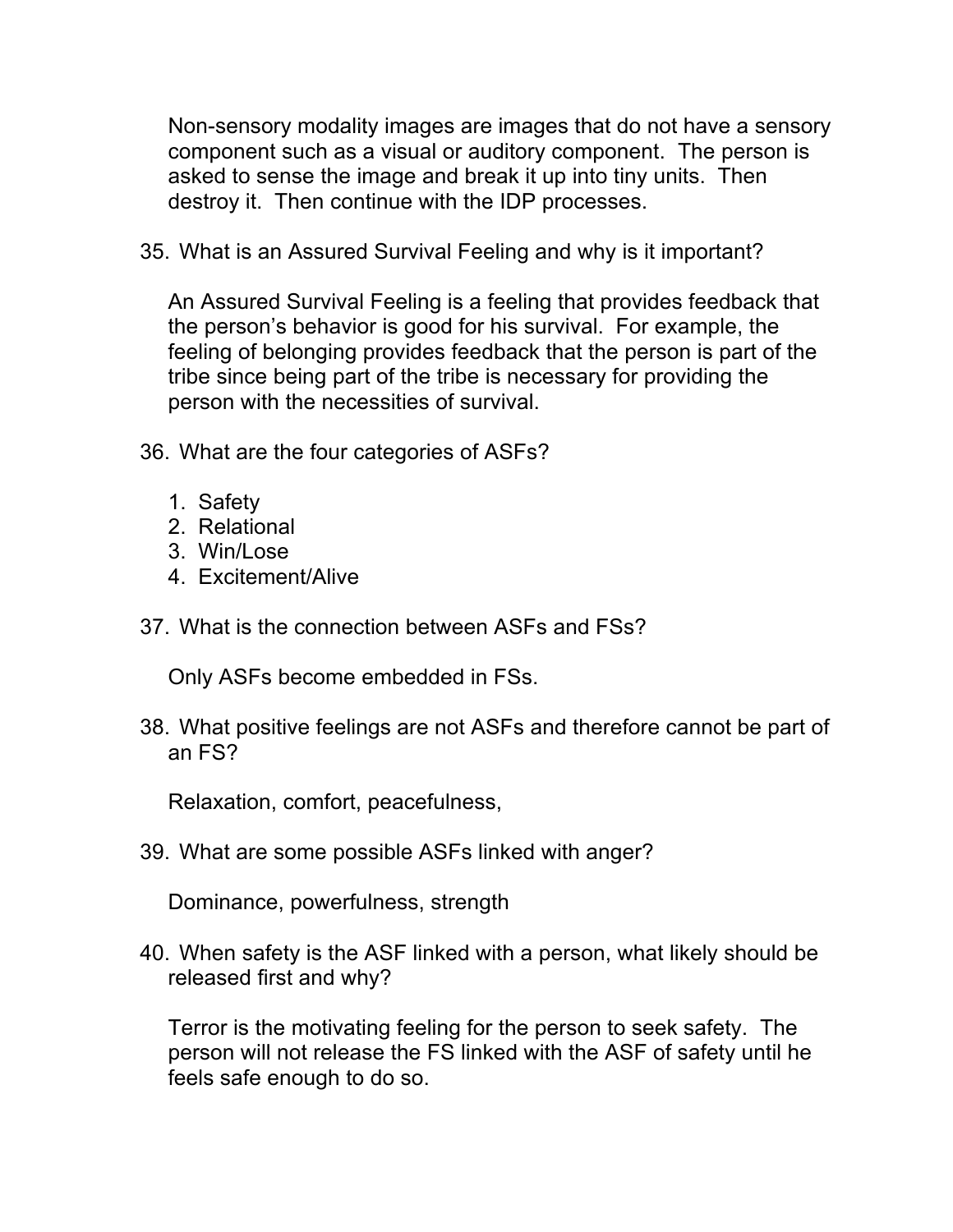Non-sensory modality images are images that do not have a sensory component such as a visual or auditory component. The person is asked to sense the image and break it up into tiny units. Then destroy it. Then continue with the IDP processes.

35. What is an Assured Survival Feeling and why is it important?

An Assured Survival Feeling is a feeling that provides feedback that the person's behavior is good for his survival. For example, the feeling of belonging provides feedback that the person is part of the tribe since being part of the tribe is necessary for providing the person with the necessities of survival.

- 36. What are the four categories of ASFs?
	- 1. Safety
	- 2. Relational
	- 3. Win/Lose
	- 4. Excitement/Alive
- 37. What is the connection between ASFs and FSs?

Only ASFs become embedded in FSs.

38. What positive feelings are not ASFs and therefore cannot be part of an FS?

Relaxation, comfort, peacefulness,

39. What are some possible ASFs linked with anger?

Dominance, powerfulness, strength

40. When safety is the ASF linked with a person, what likely should be released first and why?

Terror is the motivating feeling for the person to seek safety. The person will not release the FS linked with the ASF of safety until he feels safe enough to do so.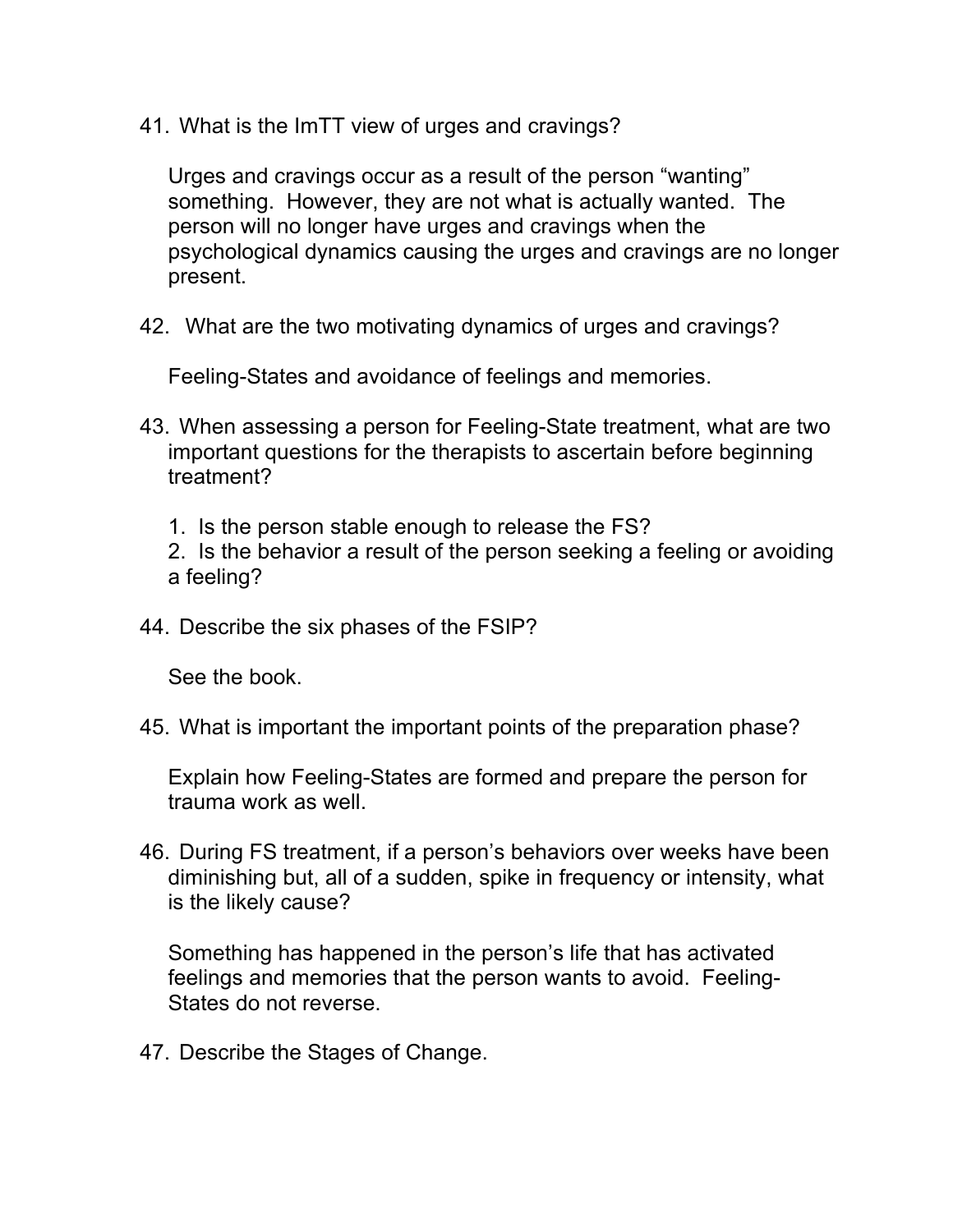41. What is the ImTT view of urges and cravings?

Urges and cravings occur as a result of the person "wanting" something. However, they are not what is actually wanted. The person will no longer have urges and cravings when the psychological dynamics causing the urges and cravings are no longer present.

42. What are the two motivating dynamics of urges and cravings?

Feeling-States and avoidance of feelings and memories.

- 43. When assessing a person for Feeling-State treatment, what are two important questions for the therapists to ascertain before beginning treatment?
	- 1. Is the person stable enough to release the FS?
	- 2. Is the behavior a result of the person seeking a feeling or avoiding a feeling?
- 44. Describe the six phases of the FSIP?

See the book.

45. What is important the important points of the preparation phase?

Explain how Feeling-States are formed and prepare the person for trauma work as well.

46. During FS treatment, if a person's behaviors over weeks have been diminishing but, all of a sudden, spike in frequency or intensity, what is the likely cause?

Something has happened in the person's life that has activated feelings and memories that the person wants to avoid. Feeling-States do not reverse.

47. Describe the Stages of Change.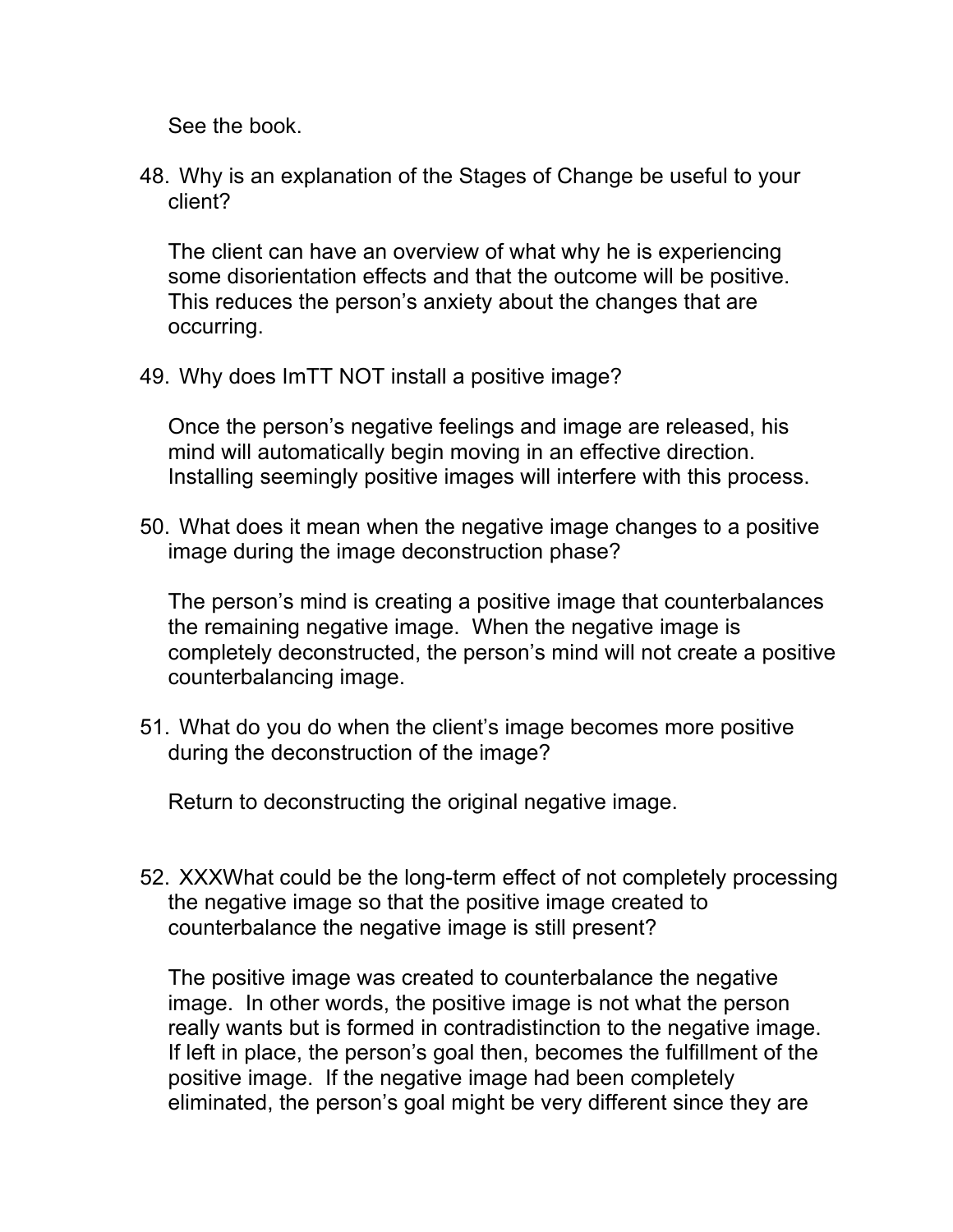See the book.

48. Why is an explanation of the Stages of Change be useful to your client?

The client can have an overview of what why he is experiencing some disorientation effects and that the outcome will be positive. This reduces the person's anxiety about the changes that are occurring.

49. Why does ImTT NOT install a positive image?

Once the person's negative feelings and image are released, his mind will automatically begin moving in an effective direction. Installing seemingly positive images will interfere with this process.

50. What does it mean when the negative image changes to a positive image during the image deconstruction phase?

The person's mind is creating a positive image that counterbalances the remaining negative image. When the negative image is completely deconstructed, the person's mind will not create a positive counterbalancing image.

51. What do you do when the client's image becomes more positive during the deconstruction of the image?

Return to deconstructing the original negative image.

52. XXXWhat could be the long-term effect of not completely processing the negative image so that the positive image created to counterbalance the negative image is still present?

The positive image was created to counterbalance the negative image. In other words, the positive image is not what the person really wants but is formed in contradistinction to the negative image. If left in place, the person's goal then, becomes the fulfillment of the positive image. If the negative image had been completely eliminated, the person's goal might be very different since they are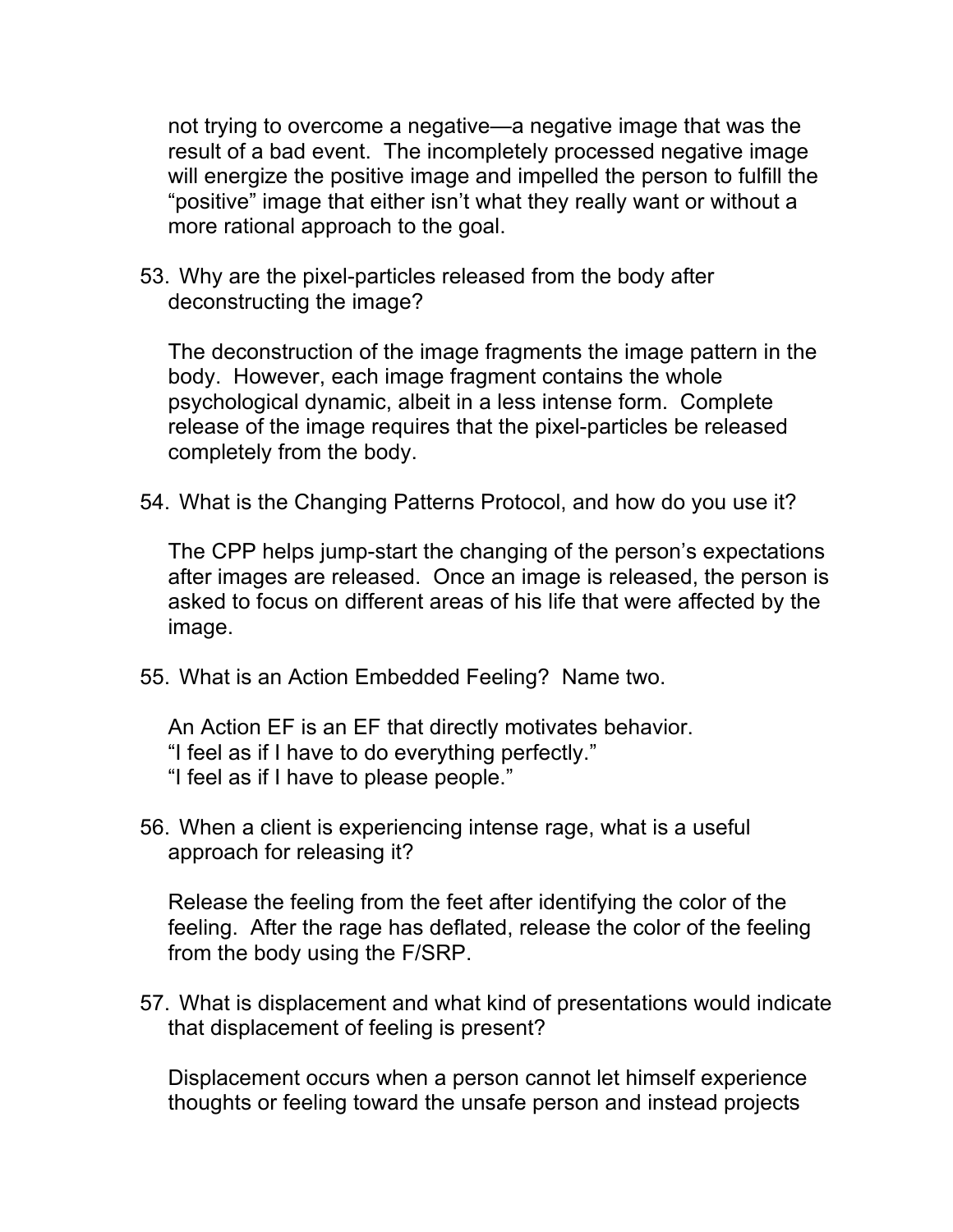not trying to overcome a negative—a negative image that was the result of a bad event. The incompletely processed negative image will energize the positive image and impelled the person to fulfill the "positive" image that either isn't what they really want or without a more rational approach to the goal.

53. Why are the pixel-particles released from the body after deconstructing the image?

The deconstruction of the image fragments the image pattern in the body. However, each image fragment contains the whole psychological dynamic, albeit in a less intense form. Complete release of the image requires that the pixel-particles be released completely from the body.

54. What is the Changing Patterns Protocol, and how do you use it?

The CPP helps jump-start the changing of the person's expectations after images are released. Once an image is released, the person is asked to focus on different areas of his life that were affected by the image.

55. What is an Action Embedded Feeling? Name two.

An Action EF is an EF that directly motivates behavior. "I feel as if I have to do everything perfectly." "I feel as if I have to please people."

56. When a client is experiencing intense rage, what is a useful approach for releasing it?

Release the feeling from the feet after identifying the color of the feeling. After the rage has deflated, release the color of the feeling from the body using the F/SRP.

57. What is displacement and what kind of presentations would indicate that displacement of feeling is present?

Displacement occurs when a person cannot let himself experience thoughts or feeling toward the unsafe person and instead projects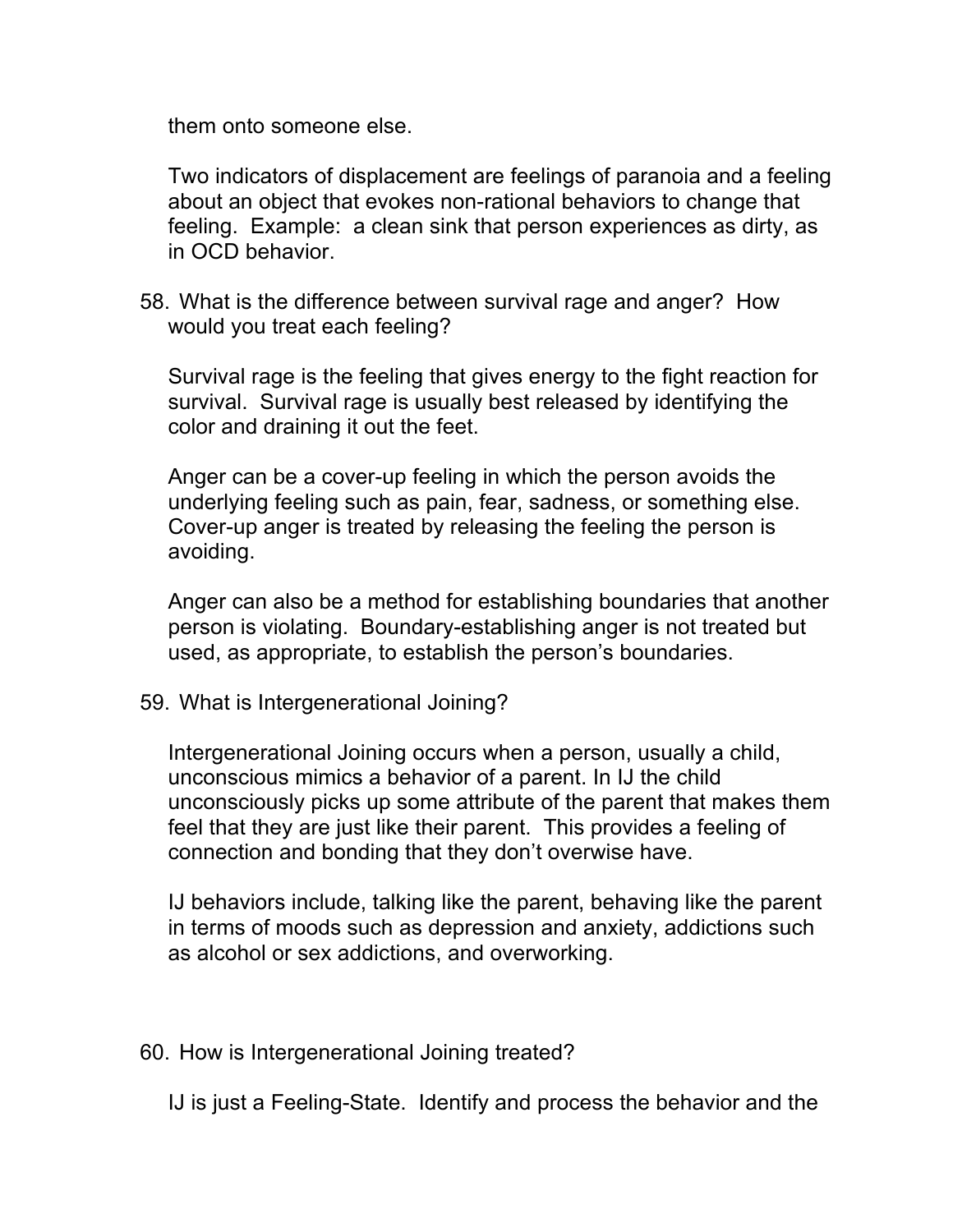them onto someone else.

Two indicators of displacement are feelings of paranoia and a feeling about an object that evokes non-rational behaviors to change that feeling. Example: a clean sink that person experiences as dirty, as in OCD behavior.

58. What is the difference between survival rage and anger? How would you treat each feeling?

Survival rage is the feeling that gives energy to the fight reaction for survival. Survival rage is usually best released by identifying the color and draining it out the feet.

Anger can be a cover-up feeling in which the person avoids the underlying feeling such as pain, fear, sadness, or something else. Cover-up anger is treated by releasing the feeling the person is avoiding.

Anger can also be a method for establishing boundaries that another person is violating. Boundary-establishing anger is not treated but used, as appropriate, to establish the person's boundaries.

59. What is Intergenerational Joining?

Intergenerational Joining occurs when a person, usually a child, unconscious mimics a behavior of a parent. In IJ the child unconsciously picks up some attribute of the parent that makes them feel that they are just like their parent. This provides a feeling of connection and bonding that they don't overwise have.

IJ behaviors include, talking like the parent, behaving like the parent in terms of moods such as depression and anxiety, addictions such as alcohol or sex addictions, and overworking.

60. How is Intergenerational Joining treated?

IJ is just a Feeling-State. Identify and process the behavior and the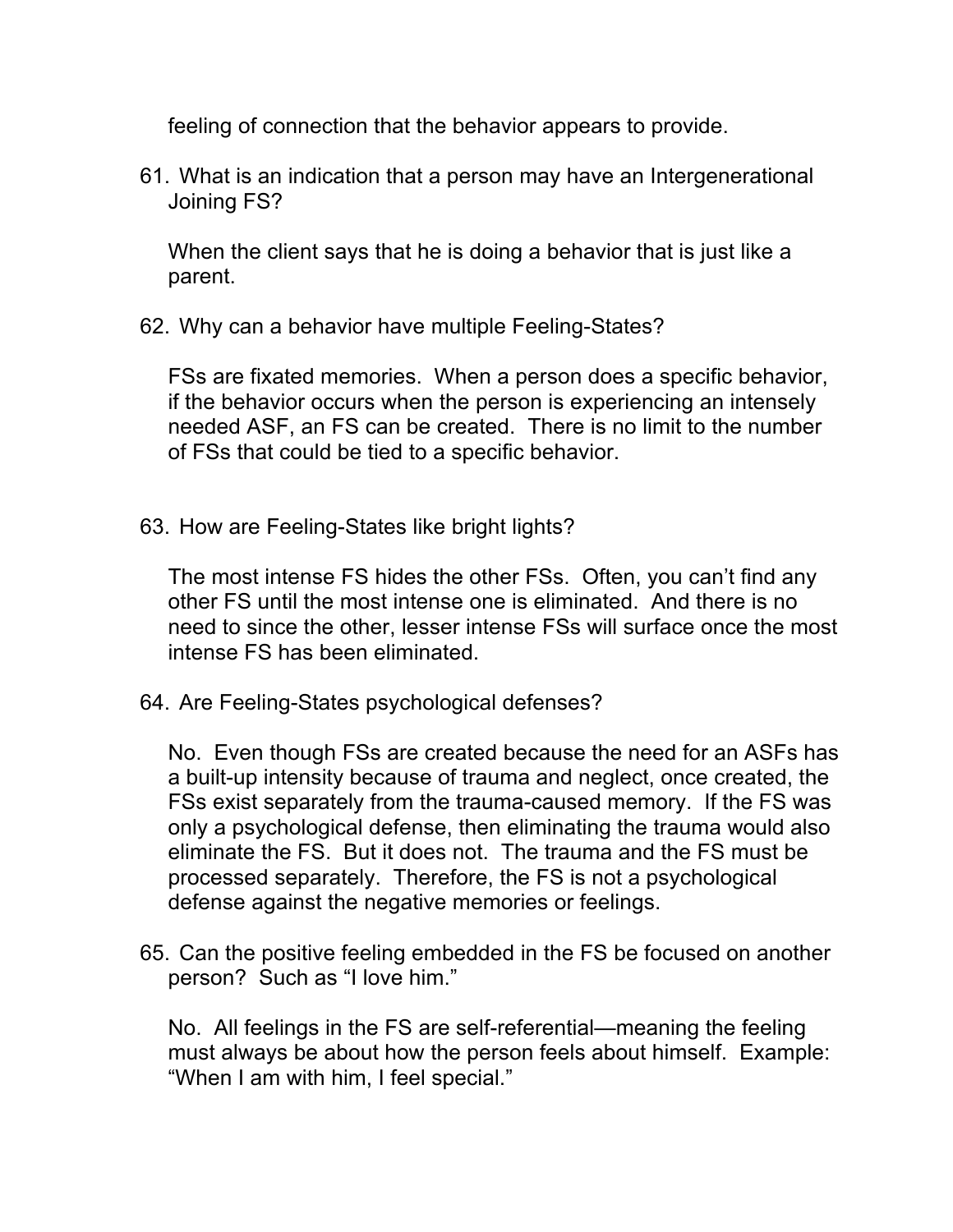feeling of connection that the behavior appears to provide.

61. What is an indication that a person may have an Intergenerational Joining FS?

When the client says that he is doing a behavior that is just like a parent.

62. Why can a behavior have multiple Feeling-States?

FSs are fixated memories. When a person does a specific behavior, if the behavior occurs when the person is experiencing an intensely needed ASF, an FS can be created. There is no limit to the number of FSs that could be tied to a specific behavior.

63. How are Feeling-States like bright lights?

The most intense FS hides the other FSs. Often, you can't find any other FS until the most intense one is eliminated. And there is no need to since the other, lesser intense FSs will surface once the most intense FS has been eliminated.

64. Are Feeling-States psychological defenses?

No. Even though FSs are created because the need for an ASFs has a built-up intensity because of trauma and neglect, once created, the FSs exist separately from the trauma-caused memory. If the FS was only a psychological defense, then eliminating the trauma would also eliminate the FS. But it does not. The trauma and the FS must be processed separately. Therefore, the FS is not a psychological defense against the negative memories or feelings.

65. Can the positive feeling embedded in the FS be focused on another person? Such as "I love him."

No. All feelings in the FS are self-referential—meaning the feeling must always be about how the person feels about himself. Example: "When I am with him, I feel special."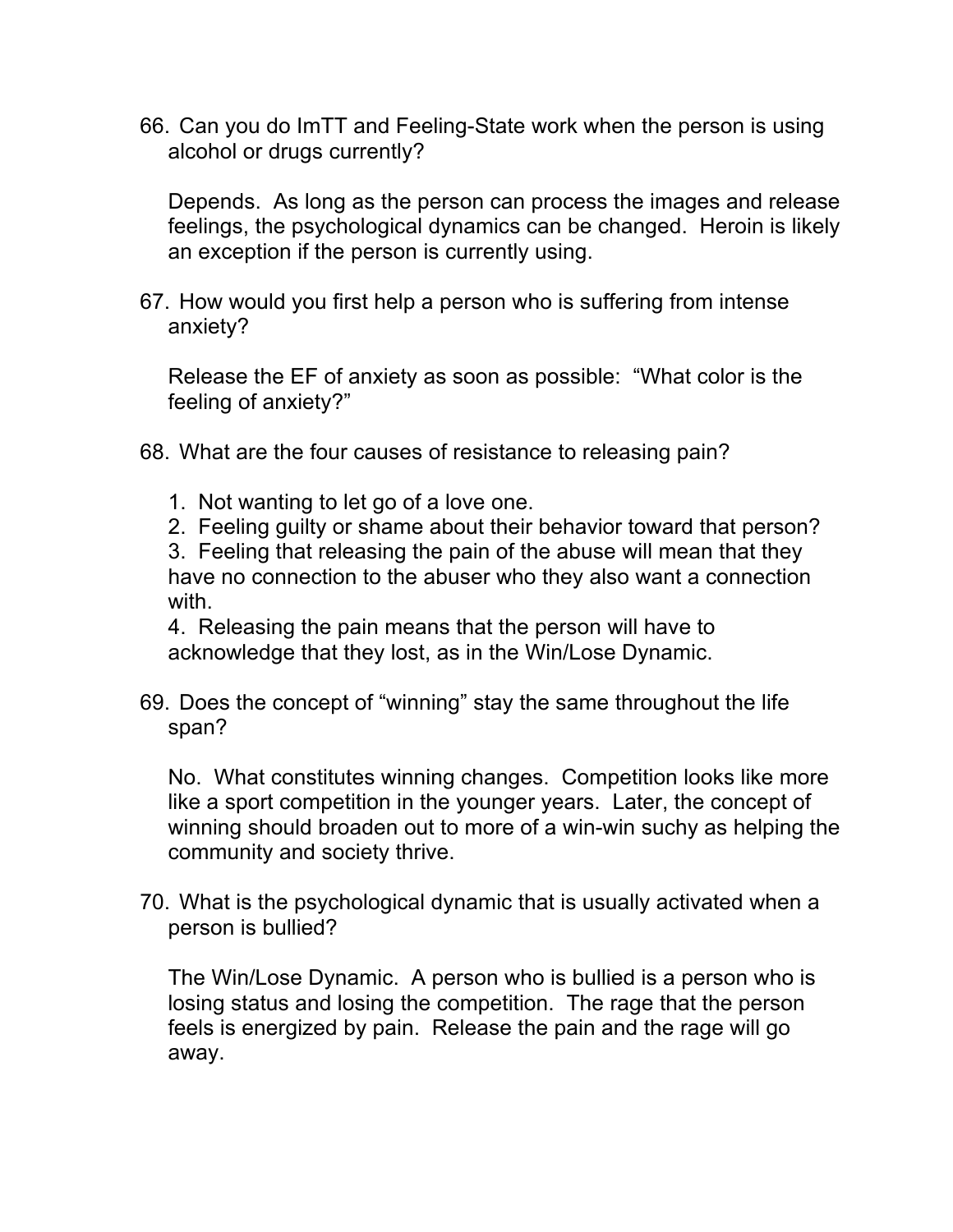66. Can you do ImTT and Feeling-State work when the person is using alcohol or drugs currently?

Depends. As long as the person can process the images and release feelings, the psychological dynamics can be changed. Heroin is likely an exception if the person is currently using.

67. How would you first help a person who is suffering from intense anxiety?

Release the EF of anxiety as soon as possible: "What color is the feeling of anxiety?"

- 68. What are the four causes of resistance to releasing pain?
	- 1. Not wanting to let go of a love one.
	- 2. Feeling guilty or shame about their behavior toward that person?

3. Feeling that releasing the pain of the abuse will mean that they have no connection to the abuser who they also want a connection with.

4. Releasing the pain means that the person will have to acknowledge that they lost, as in the Win/Lose Dynamic.

69. Does the concept of "winning" stay the same throughout the life span?

No. What constitutes winning changes. Competition looks like more like a sport competition in the younger years. Later, the concept of winning should broaden out to more of a win-win suchy as helping the community and society thrive.

70. What is the psychological dynamic that is usually activated when a person is bullied?

The Win/Lose Dynamic. A person who is bullied is a person who is losing status and losing the competition. The rage that the person feels is energized by pain. Release the pain and the rage will go away.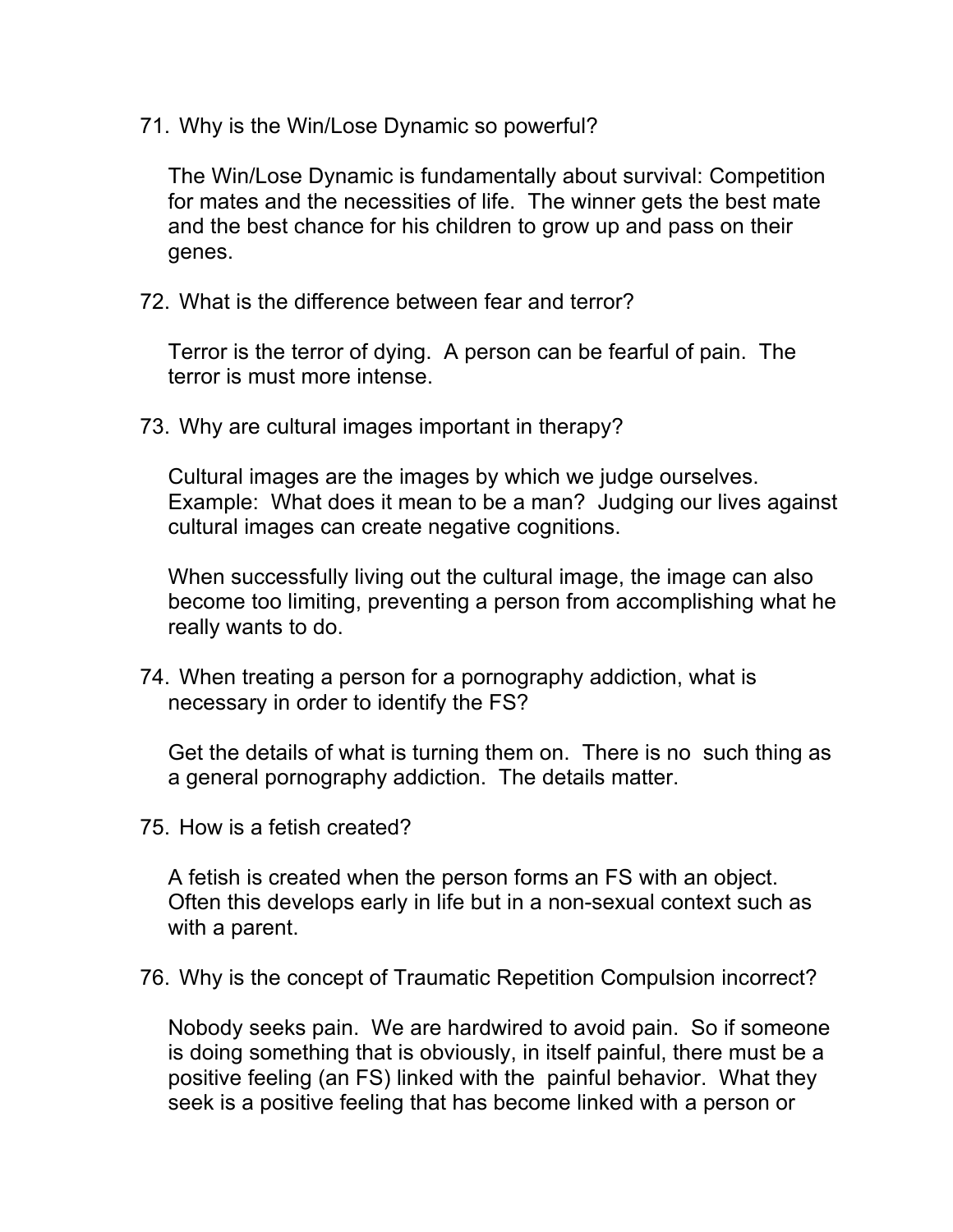71. Why is the Win/Lose Dynamic so powerful?

The Win/Lose Dynamic is fundamentally about survival: Competition for mates and the necessities of life. The winner gets the best mate and the best chance for his children to grow up and pass on their genes.

72. What is the difference between fear and terror?

Terror is the terror of dying. A person can be fearful of pain. The terror is must more intense.

73. Why are cultural images important in therapy?

Cultural images are the images by which we judge ourselves. Example: What does it mean to be a man? Judging our lives against cultural images can create negative cognitions.

When successfully living out the cultural image, the image can also become too limiting, preventing a person from accomplishing what he really wants to do.

74. When treating a person for a pornography addiction, what is necessary in order to identify the FS?

Get the details of what is turning them on. There is no such thing as a general pornography addiction. The details matter.

75. How is a fetish created?

A fetish is created when the person forms an FS with an object. Often this develops early in life but in a non-sexual context such as with a parent.

76. Why is the concept of Traumatic Repetition Compulsion incorrect?

Nobody seeks pain. We are hardwired to avoid pain. So if someone is doing something that is obviously, in itself painful, there must be a positive feeling (an FS) linked with the painful behavior. What they seek is a positive feeling that has become linked with a person or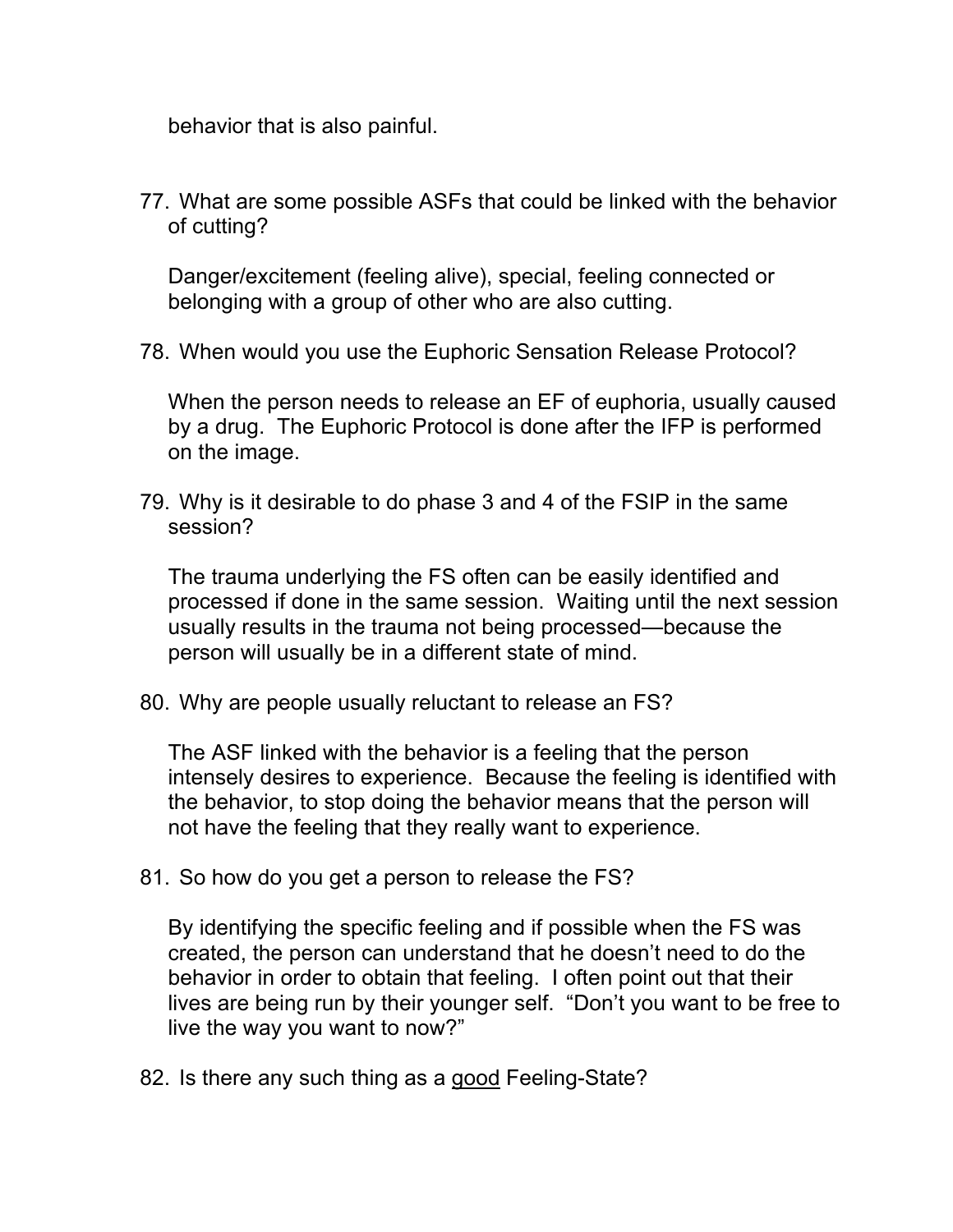behavior that is also painful.

77. What are some possible ASFs that could be linked with the behavior of cutting?

Danger/excitement (feeling alive), special, feeling connected or belonging with a group of other who are also cutting.

78. When would you use the Euphoric Sensation Release Protocol?

When the person needs to release an EF of euphoria, usually caused by a drug. The Euphoric Protocol is done after the IFP is performed on the image.

79. Why is it desirable to do phase 3 and 4 of the FSIP in the same session?

The trauma underlying the FS often can be easily identified and processed if done in the same session. Waiting until the next session usually results in the trauma not being processed—because the person will usually be in a different state of mind.

80. Why are people usually reluctant to release an FS?

The ASF linked with the behavior is a feeling that the person intensely desires to experience. Because the feeling is identified with the behavior, to stop doing the behavior means that the person will not have the feeling that they really want to experience.

81. So how do you get a person to release the FS?

By identifying the specific feeling and if possible when the FS was created, the person can understand that he doesn't need to do the behavior in order to obtain that feeling. I often point out that their lives are being run by their younger self. "Don't you want to be free to live the way you want to now?"

82. Is there any such thing as a good Feeling-State?